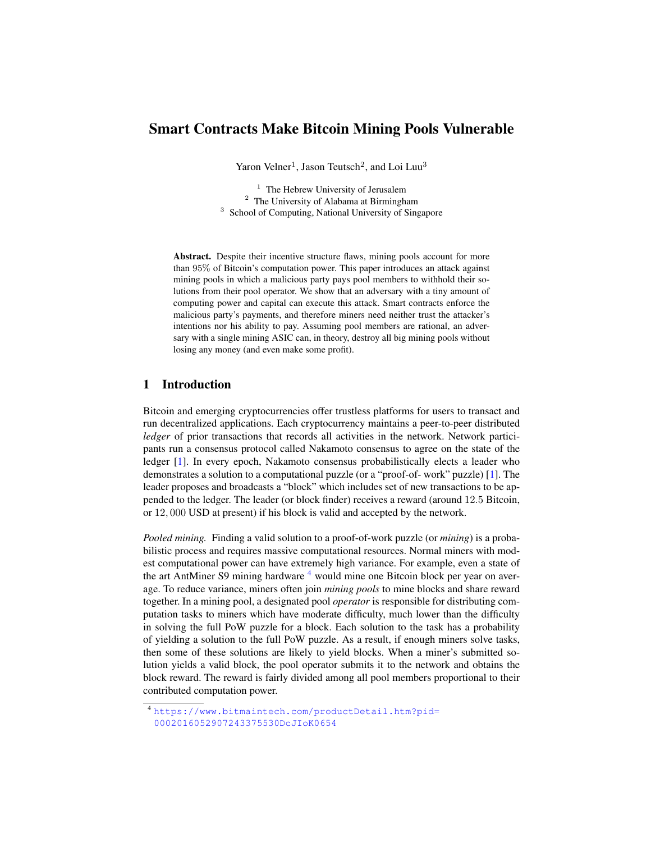# Smart Contracts Make Bitcoin Mining Pools Vulnerable

Yaron Velner<sup>1</sup>, Jason Teutsch<sup>2</sup>, and Loi Luu<sup>3</sup>

 $<sup>1</sup>$  The Hebrew University of Jerusalem</sup> <sup>2</sup> The University of Alabama at Birmingham <sup>3</sup> School of Computing, National University of Singapore

Abstract. Despite their incentive structure flaws, mining pools account for more than 95% of Bitcoin's computation power. This paper introduces an attack against mining pools in which a malicious party pays pool members to withhold their solutions from their pool operator. We show that an adversary with a tiny amount of computing power and capital can execute this attack. Smart contracts enforce the malicious party's payments, and therefore miners need neither trust the attacker's intentions nor his ability to pay. Assuming pool members are rational, an adversary with a single mining ASIC can, in theory, destroy all big mining pools without losing any money (and even make some profit).

# 1 Introduction

Bitcoin and emerging cryptocurrencies offer trustless platforms for users to transact and run decentralized applications. Each cryptocurrency maintains a peer-to-peer distributed *ledger* of prior transactions that records all activities in the network. Network participants run a consensus protocol called Nakamoto consensus to agree on the state of the ledger [\[1\]](#page-12-0). In every epoch, Nakamoto consensus probabilistically elects a leader who demonstrates a solution to a computational puzzle (or a "proof-of- work" puzzle) [\[1\]](#page-12-0). The leader proposes and broadcasts a "block" which includes set of new transactions to be appended to the ledger. The leader (or block finder) receives a reward (around 12.5 Bitcoin, or 12, 000 USD at present) if his block is valid and accepted by the network.

*Pooled mining.* Finding a valid solution to a proof-of-work puzzle (or *mining*) is a probabilistic process and requires massive computational resources. Normal miners with modest computational power can have extremely high variance. For example, even a state of the art AntMiner S9 mining hardware  $4$  would mine one Bitcoin block per year on average. To reduce variance, miners often join *mining pools* to mine blocks and share reward together. In a mining pool, a designated pool *operator* is responsible for distributing computation tasks to miners which have moderate difficulty, much lower than the difficulty in solving the full PoW puzzle for a block. Each solution to the task has a probability of yielding a solution to the full PoW puzzle. As a result, if enough miners solve tasks, then some of these solutions are likely to yield blocks. When a miner's submitted solution yields a valid block, the pool operator submits it to the network and obtains the block reward. The reward is fairly divided among all pool members proportional to their contributed computation power.

<span id="page-0-0"></span><sup>4</sup> [https://www.bitmaintech.com/productDetail.htm?pid=](https://www.bitmaintech.com/productDetail.htm?pid=0002016052907243375530DcJIoK0654) [0002016052907243375530DcJIoK0654](https://www.bitmaintech.com/productDetail.htm?pid=0002016052907243375530DcJIoK0654)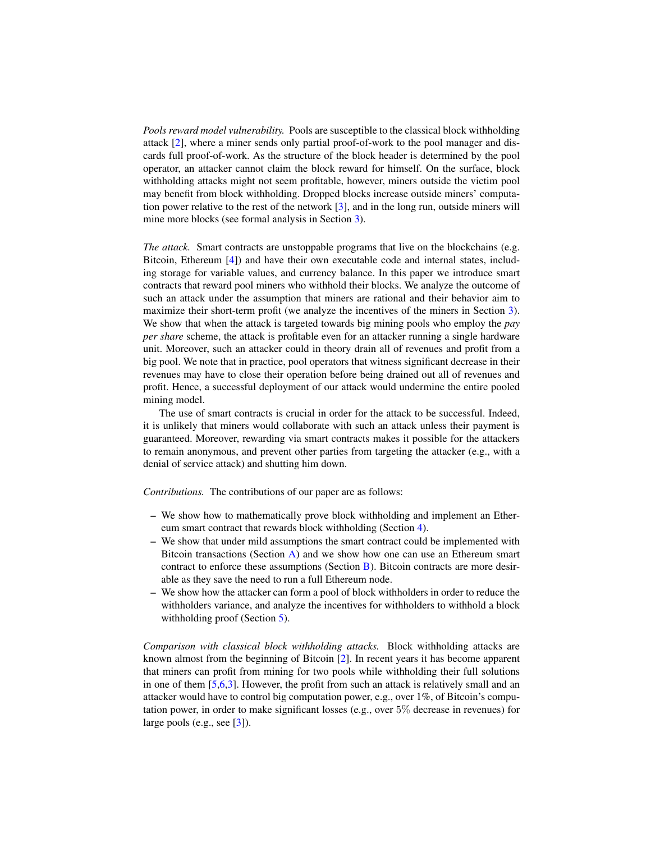*Pools reward model vulnerability.* Pools are susceptible to the classical block withholding attack [\[2\]](#page-12-1), where a miner sends only partial proof-of-work to the pool manager and discards full proof-of-work. As the structure of the block header is determined by the pool operator, an attacker cannot claim the block reward for himself. On the surface, block withholding attacks might not seem profitable, however, miners outside the victim pool may benefit from block withholding. Dropped blocks increase outside miners' computation power relative to the rest of the network [\[3\]](#page-12-2), and in the long run, outside miners will mine more blocks (see formal analysis in Section [3\)](#page-4-0).

*The attack.* Smart contracts are unstoppable programs that live on the blockchains (e.g. Bitcoin, Ethereum [\[4\]](#page-12-3)) and have their own executable code and internal states, including storage for variable values, and currency balance. In this paper we introduce smart contracts that reward pool miners who withhold their blocks. We analyze the outcome of such an attack under the assumption that miners are rational and their behavior aim to maximize their short-term profit (we analyze the incentives of the miners in Section [3\)](#page-4-0). We show that when the attack is targeted towards big mining pools who employ the *pay per share* scheme, the attack is profitable even for an attacker running a single hardware unit. Moreover, such an attacker could in theory drain all of revenues and profit from a big pool. We note that in practice, pool operators that witness significant decrease in their revenues may have to close their operation before being drained out all of revenues and profit. Hence, a successful deployment of our attack would undermine the entire pooled mining model.

The use of smart contracts is crucial in order for the attack to be successful. Indeed, it is unlikely that miners would collaborate with such an attack unless their payment is guaranteed. Moreover, rewarding via smart contracts makes it possible for the attackers to remain anonymous, and prevent other parties from targeting the attacker (e.g., with a denial of service attack) and shutting him down.

*Contributions.* The contributions of our paper are as follows:

- We show how to mathematically prove block withholding and implement an Ethereum smart contract that rewards block withholding (Section [4\)](#page-6-0).
- We show that under mild assumptions the smart contract could be implemented with Bitcoin transactions (Section  $A$ ) and we show how one can use an Ethereum smart contract to enforce these assumptions (Section [B\)](#page-14-0). Bitcoin contracts are more desirable as they save the need to run a full Ethereum node.
- We show how the attacker can form a pool of block withholders in order to reduce the withholders variance, and analyze the incentives for withholders to withhold a block withholding proof (Section [5\)](#page-10-0).

*Comparison with classical block withholding attacks.* Block withholding attacks are known almost from the beginning of Bitcoin [\[2\]](#page-12-1). In recent years it has become apparent that miners can profit from mining for two pools while withholding their full solutions in one of them [\[5,](#page-12-4)[6,](#page-12-5)[3\]](#page-12-2). However, the profit from such an attack is relatively small and an attacker would have to control big computation power, e.g., over 1%, of Bitcoin's computation power, in order to make significant losses (e.g., over 5% decrease in revenues) for large pools (e.g., see [\[3\]](#page-12-2)).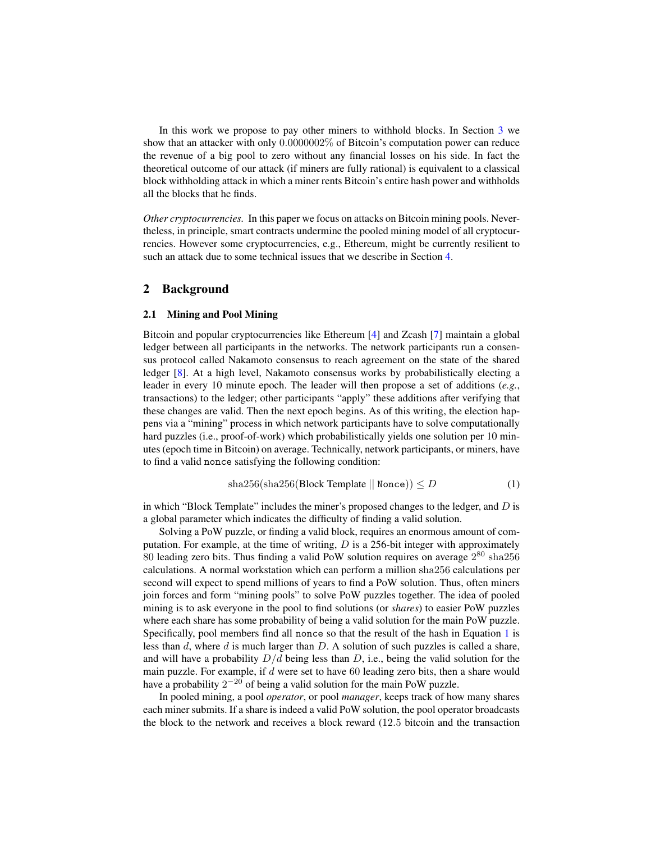In this work we propose to pay other miners to withhold blocks. In Section [3](#page-4-0) we show that an attacker with only 0.0000002% of Bitcoin's computation power can reduce the revenue of a big pool to zero without any financial losses on his side. In fact the theoretical outcome of our attack (if miners are fully rational) is equivalent to a classical block withholding attack in which a miner rents Bitcoin's entire hash power and withholds all the blocks that he finds.

*Other cryptocurrencies.* In this paper we focus on attacks on Bitcoin mining pools. Nevertheless, in principle, smart contracts undermine the pooled mining model of all cryptocurrencies. However some cryptocurrencies, e.g., Ethereum, might be currently resilient to such an attack due to some technical issues that we describe in Section [4.](#page-6-0)

### 2 Background

#### 2.1 Mining and Pool Mining

Bitcoin and popular cryptocurrencies like Ethereum [\[4\]](#page-12-3) and Zcash [\[7\]](#page-12-6) maintain a global ledger between all participants in the networks. The network participants run a consensus protocol called Nakamoto consensus to reach agreement on the state of the shared ledger [\[8\]](#page-12-7). At a high level, Nakamoto consensus works by probabilistically electing a leader in every 10 minute epoch. The leader will then propose a set of additions (*e.g.*, transactions) to the ledger; other participants "apply" these additions after verifying that these changes are valid. Then the next epoch begins. As of this writing, the election happens via a "mining" process in which network participants have to solve computationally hard puzzles (i.e., proof-of-work) which probabilistically yields one solution per 10 minutes (epoch time in Bitcoin) on average. Technically, network participants, or miners, have to find a valid nonce satisfying the following condition:

<span id="page-2-0"></span>
$$
sha256(sha256(Block Temple || None)) \le D
$$
 (1)

in which "Block Template" includes the miner's proposed changes to the ledger, and  $D$  is a global parameter which indicates the difficulty of finding a valid solution.

Solving a PoW puzzle, or finding a valid block, requires an enormous amount of computation. For example, at the time of writing,  $D$  is a 256-bit integer with approximately 80 leading zero bits. Thus finding a valid PoW solution requires on average  $2^{80}$  sha $256$ calculations. A normal workstation which can perform a million sha256 calculations per second will expect to spend millions of years to find a PoW solution. Thus, often miners join forces and form "mining pools" to solve PoW puzzles together. The idea of pooled mining is to ask everyone in the pool to find solutions (or *shares*) to easier PoW puzzles where each share has some probability of being a valid solution for the main PoW puzzle. Specifically, pool members find all nonce so that the result of the hash in Equation [1](#page-2-0) is less than  $d$ , where  $d$  is much larger than  $D$ . A solution of such puzzles is called a share, and will have a probability  $D/d$  being less than D, i.e., being the valid solution for the main puzzle. For example, if  $d$  were set to have  $60$  leading zero bits, then a share would have a probability  $2^{-20}$  of being a valid solution for the main PoW puzzle.

In pooled mining, a pool *operator*, or pool *manager*, keeps track of how many shares each miner submits. If a share is indeed a valid PoW solution, the pool operator broadcasts the block to the network and receives a block reward (12.5 bitcoin and the transaction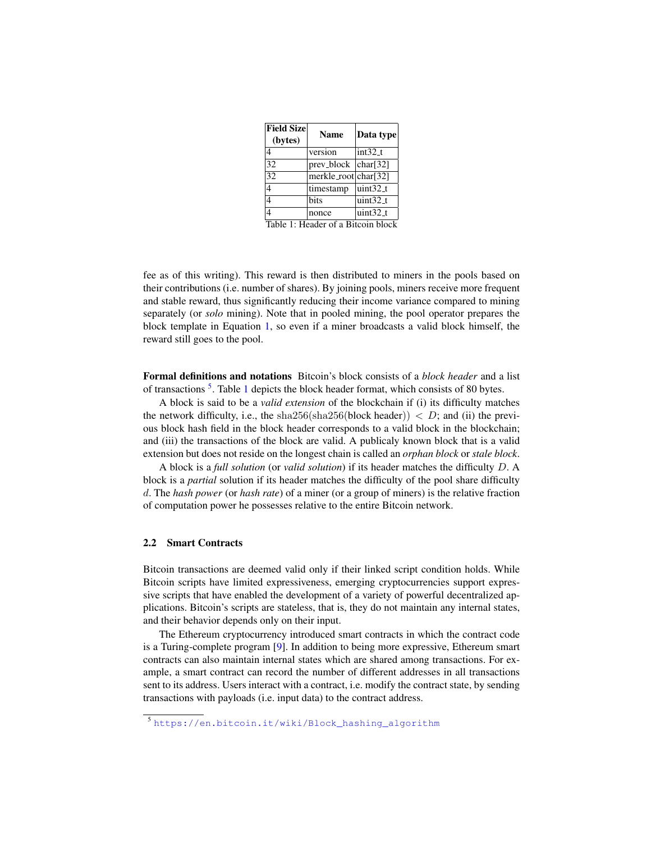<span id="page-3-1"></span>

| <b>Field Size</b><br>(bytes) | <b>Name</b>          | Data type  |
|------------------------------|----------------------|------------|
|                              | version              | $int32_t$  |
| 32                           | prev_block           | char[32]   |
| 32                           | merkle_root char[32] |            |
| 4                            | timestamp            | $uint32_t$ |
|                              | bits                 | $uint32_t$ |
|                              | nonce                | $uint32_t$ |

Table 1: Header of a Bitcoin block

fee as of this writing). This reward is then distributed to miners in the pools based on their contributions (i.e. number of shares). By joining pools, miners receive more frequent and stable reward, thus significantly reducing their income variance compared to mining separately (or *solo* mining). Note that in pooled mining, the pool operator prepares the block template in Equation [1,](#page-2-0) so even if a miner broadcasts a valid block himself, the reward still goes to the pool.

Formal definitions and notations Bitcoin's block consists of a *block header* and a list of transactions<sup>[5](#page-3-0)</sup>. Table [1](#page-3-1) depicts the block header format, which consists of 80 bytes.

A block is said to be a *valid extension* of the blockchain if (i) its difficulty matches the network difficulty, i.e., the sha256(sha256(block header))  $\langle D;$  and (ii) the previous block hash field in the block header corresponds to a valid block in the blockchain; and (iii) the transactions of the block are valid. A publicaly known block that is a valid extension but does not reside on the longest chain is called an *orphan block* or *stale block*.

A block is a *full solution* (or *valid solution*) if its header matches the difficulty D. A block is a *partial* solution if its header matches the difficulty of the pool share difficulty d. The *hash power* (or *hash rate*) of a miner (or a group of miners) is the relative fraction of computation power he possesses relative to the entire Bitcoin network.

### 2.2 Smart Contracts

Bitcoin transactions are deemed valid only if their linked script condition holds. While Bitcoin scripts have limited expressiveness, emerging cryptocurrencies support expressive scripts that have enabled the development of a variety of powerful decentralized applications. Bitcoin's scripts are stateless, that is, they do not maintain any internal states, and their behavior depends only on their input.

The Ethereum cryptocurrency introduced smart contracts in which the contract code is a Turing-complete program [\[9\]](#page-12-8). In addition to being more expressive, Ethereum smart contracts can also maintain internal states which are shared among transactions. For example, a smart contract can record the number of different addresses in all transactions sent to its address. Users interact with a contract, i.e. modify the contract state, by sending transactions with payloads (i.e. input data) to the contract address.

<span id="page-3-0"></span><sup>5</sup> [https://en.bitcoin.it/wiki/Block\\_hashing\\_algorithm](https://en.bitcoin.it/wiki/Block_hashing_algorithm)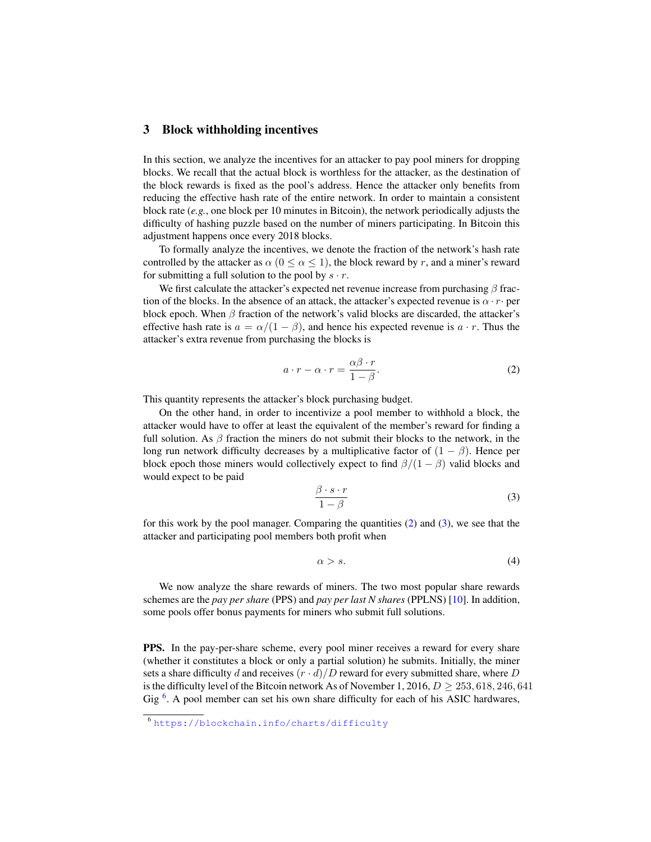### <span id="page-4-0"></span>3 Block withholding incentives

In this section, we analyze the incentives for an attacker to pay pool miners for dropping blocks. We recall that the actual block is worthless for the attacker, as the destination of the block rewards is fixed as the pool's address. Hence the attacker only benefits from reducing the effective hash rate of the entire network. In order to maintain a consistent block rate (*e.g.*, one block per 10 minutes in Bitcoin), the network periodically adjusts the difficulty of hashing puzzle based on the number of miners participating. In Bitcoin this adjustment happens once every 2018 blocks.

To formally analyze the incentives, we denote the fraction of the network's hash rate controlled by the attacker as  $\alpha$  ( $0 \le \alpha \le 1$ ), the block reward by r, and a miner's reward for submitting a full solution to the pool by  $s \cdot r$ .

We first calculate the attacker's expected net revenue increase from purchasing  $\beta$  fraction of the blocks. In the absence of an attack, the attacker's expected revenue is  $\alpha \cdot r \cdot$  per block epoch. When  $\beta$  fraction of the network's valid blocks are discarded, the attacker's effective hash rate is  $a = \alpha/(1 - \beta)$ , and hence his expected revenue is  $a \cdot r$ . Thus the attacker's extra revenue from purchasing the blocks is

<span id="page-4-1"></span>
$$
a \cdot r - \alpha \cdot r = \frac{\alpha \beta \cdot r}{1 - \beta}.
$$
 (2)

This quantity represents the attacker's block purchasing budget.

On the other hand, in order to incentivize a pool member to withhold a block, the attacker would have to offer at least the equivalent of the member's reward for finding a full solution. As  $\beta$  fraction the miners do not submit their blocks to the network, in the long run network difficulty decreases by a multiplicative factor of  $(1 - \beta)$ . Hence per block epoch those miners would collectively expect to find  $\beta/(1 - \beta)$  valid blocks and would expect to be paid

<span id="page-4-2"></span>
$$
\frac{\beta \cdot s \cdot r}{1 - \beta} \tag{3}
$$

for this work by the pool manager. Comparing the quantities [\(2\)](#page-4-1) and [\(3\)](#page-4-2), we see that the attacker and participating pool members both profit when

<span id="page-4-4"></span>
$$
\alpha > s. \tag{4}
$$

We now analyze the share rewards of miners. The two most popular share rewards schemes are the *pay per share* (PPS) and *pay per last N shares* (PPLNS) [\[10\]](#page-12-9). In addition, some pools offer bonus payments for miners who submit full solutions.

PPS. In the pay-per-share scheme, every pool miner receives a reward for every share (whether it constitutes a block or only a partial solution) he submits. Initially, the miner sets a share difficulty d and receives  $(r \cdot d)/D$  reward for every submitted share, where D is the difficulty level of the Bitcoin network As of November 1, 2016,  $D > 253$ , 618, 246, 641 Gig  $<sup>6</sup>$  $<sup>6</sup>$  $<sup>6</sup>$ . A pool member can set his own share difficulty for each of his ASIC hardwares,</sup>

<span id="page-4-3"></span> $\frac{6 \text{ https://blockchain.info/charts/difficulty}}{6}$  $\frac{6 \text{ https://blockchain.info/charts/difficulty}}{6}$  $\frac{6 \text{ https://blockchain.info/charts/difficulty}}{6}$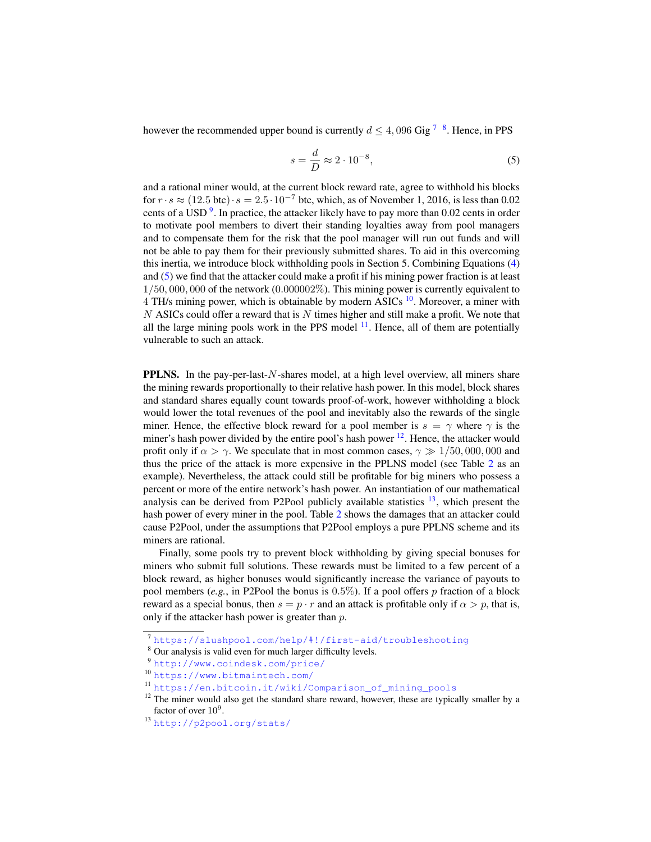however the recommended upper bound is currently  $d \leq 4,096$  Gig<sup>[7](#page-5-0)</sup>  $^8$  $^8$ . Hence, in PPS

<span id="page-5-3"></span>
$$
s = \frac{d}{D} \approx 2 \cdot 10^{-8},\tag{5}
$$

and a rational miner would, at the current block reward rate, agree to withhold his blocks for  $r \cdot s \approx (12.5 \text{ btc}) \cdot s = 2.5 \cdot 10^{-7}$  btc, which, as of November 1, 2016, is less than 0.02 cents of a USD<sup>[9](#page-5-2)</sup>. In practice, the attacker likely have to pay more than 0.02 cents in order to motivate pool members to divert their standing loyalties away from pool managers and to compensate them for the risk that the pool manager will run out funds and will not be able to pay them for their previously submitted shares. To aid in this overcoming this inertia, we introduce block withholding pools in Section 5. Combining Equations [\(4\)](#page-4-4) and [\(5\)](#page-5-3) we find that the attacker could make a profit if his mining power fraction is at least  $1/50,000,000$  of the network  $(0.000002\%)$ . This mining power is currently equivalent to  $4$  TH/s mining power, which is obtainable by modern ASICs  $^{10}$  $^{10}$  $^{10}$ . Moreover, a miner with  $N$  ASICs could offer a reward that is  $N$  times higher and still make a profit. We note that all the large mining pools work in the PPS model  $<sup>11</sup>$  $<sup>11</sup>$  $<sup>11</sup>$ . Hence, all of them are potentially</sup> vulnerable to such an attack.

PPLNS. In the pay-per-last-N-shares model, at a high level overview, all miners share the mining rewards proportionally to their relative hash power. In this model, block shares and standard shares equally count towards proof-of-work, however withholding a block would lower the total revenues of the pool and inevitably also the rewards of the single miner. Hence, the effective block reward for a pool member is  $s = \gamma$  where  $\gamma$  is the miner's hash power divided by the entire pool's hash power  $12$ . Hence, the attacker would profit only if  $\alpha > \gamma$ . We speculate that in most common cases,  $\gamma \gg 1/50,000,000$  and thus the price of the attack is more expensive in the PPLNS model (see Table [2](#page-6-1) as an example). Nevertheless, the attack could still be profitable for big miners who possess a percent or more of the entire network's hash power. An instantiation of our mathematical analysis can be derived from P2Pool publicly available statistics  $^{13}$  $^{13}$  $^{13}$ , which present the hash power of every miner in the pool. Table [2](#page-6-1) shows the damages that an attacker could cause P2Pool, under the assumptions that P2Pool employs a pure PPLNS scheme and its miners are rational.

Finally, some pools try to prevent block withholding by giving special bonuses for miners who submit full solutions. These rewards must be limited to a few percent of a block reward, as higher bonuses would significantly increase the variance of payouts to pool members (*e.g.*, in P2Pool the bonus is 0.5%). If a pool offers p fraction of a block reward as a special bonus, then  $s = p \cdot r$  and an attack is profitable only if  $\alpha > p$ , that is, only if the attacker hash power is greater than p.

<span id="page-5-0"></span><sup>7</sup> <https://slushpool.com/help/#!/first-aid/troubleshooting>

<span id="page-5-1"></span><sup>&</sup>lt;sup>8</sup> Our analysis is valid even for much larger difficulty levels.

<span id="page-5-2"></span><sup>9</sup> <http://www.coindesk.com/price/>

<span id="page-5-4"></span><sup>10</sup> <https://www.bitmaintech.com/>

<span id="page-5-5"></span><sup>11</sup> [https://en.bitcoin.it/wiki/Comparison\\_of\\_mining\\_pools](https://en.bitcoin.it/wiki/Comparison_of_mining_pools)

<span id="page-5-6"></span> $12$  The miner would also get the standard share reward, however, these are typically smaller by a factor of over  $10^9$ .

<span id="page-5-7"></span><sup>13</sup> <http://p2pool.org/stats/>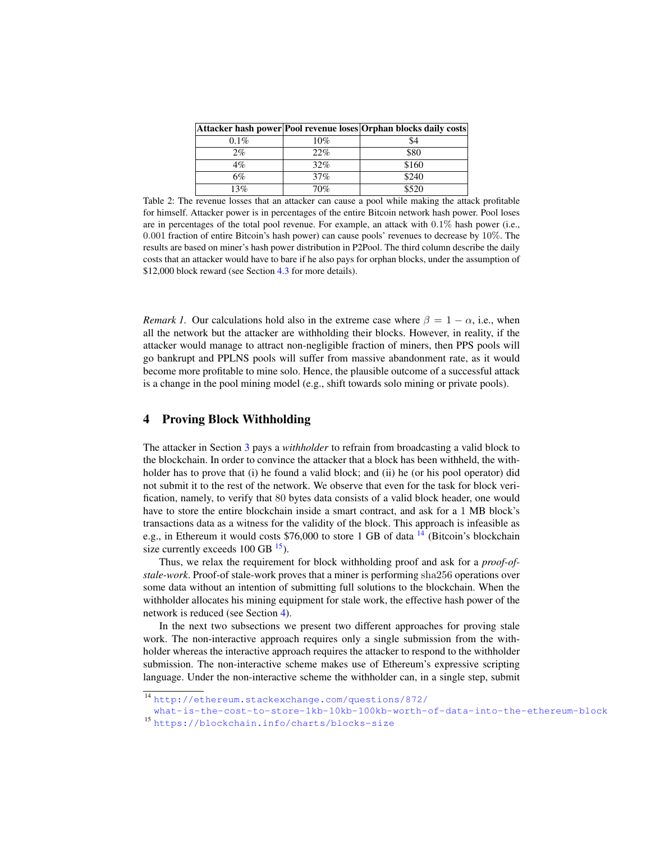<span id="page-6-1"></span>

|         |     | Attacker hash power Pool revenue loses Orphan blocks daily costs |
|---------|-----|------------------------------------------------------------------|
| $0.1\%$ | 10% | 54                                                               |
| $2\%$   | 22% | \$80                                                             |
| $4\%$   | 32% | \$160                                                            |
| 6%      | 37% | \$240                                                            |
| 13%     | 70% | \$520                                                            |

Table 2: The revenue losses that an attacker can cause a pool while making the attack profitable for himself. Attacker power is in percentages of the entire Bitcoin network hash power. Pool loses are in percentages of the total pool revenue. For example, an attack with  $0.1\%$  hash power (i.e., 0.001 fraction of entire Bitcoin's hash power) can cause pools' revenues to decrease by 10%. The results are based on miner's hash power distribution in P2Pool. The third column describe the daily costs that an attacker would have to bare if he also pays for orphan blocks, under the assumption of \$12,000 block reward (see Section [4.3](#page-8-0) for more details).

*Remark 1.* Our calculations hold also in the extreme case where  $\beta = 1 - \alpha$ , i.e., when all the network but the attacker are withholding their blocks. However, in reality, if the attacker would manage to attract non-negligible fraction of miners, then PPS pools will go bankrupt and PPLNS pools will suffer from massive abandonment rate, as it would become more profitable to mine solo. Hence, the plausible outcome of a successful attack is a change in the pool mining model (e.g., shift towards solo mining or private pools).

## <span id="page-6-0"></span>4 Proving Block Withholding

The attacker in Section [3](#page-4-0) pays a *withholder* to refrain from broadcasting a valid block to the blockchain. In order to convince the attacker that a block has been withheld, the withholder has to prove that (i) he found a valid block; and (ii) he (or his pool operator) did not submit it to the rest of the network. We observe that even for the task for block verification, namely, to verify that 80 bytes data consists of a valid block header, one would have to store the entire blockchain inside a smart contract, and ask for a 1 MB block's transactions data as a witness for the validity of the block. This approach is infeasible as e.g., in Ethereum it would costs \$76,000 to store 1 GB of data  $14$  (Bitcoin's blockchain size currently exceeds  $100$  GB  $^{15}$  $^{15}$  $^{15}$ ).

Thus, we relax the requirement for block withholding proof and ask for a *proof-ofstale-work*. Proof-of stale-work proves that a miner is performing sha256 operations over some data without an intention of submitting full solutions to the blockchain. When the withholder allocates his mining equipment for stale work, the effective hash power of the network is reduced (see Section [4\)](#page-6-0).

In the next two subsections we present two different approaches for proving stale work. The non-interactive approach requires only a single submission from the withholder whereas the interactive approach requires the attacker to respond to the withholder submission. The non-interactive scheme makes use of Ethereum's expressive scripting language. Under the non-interactive scheme the withholder can, in a single step, submit

<span id="page-6-2"></span><sup>14</sup> [http://ethereum.stackexchange.com/questions/872/](http://ethereum.stackexchange.com/questions/872/what-is-the-cost-to-store-1kb-10kb-100kb-worth-of-data-into-the-ethereum-block)

[what-is-the-cost-to-store-1kb-10kb-100kb-worth-of-data-into-the-ethereum-block](http://ethereum.stackexchange.com/questions/872/what-is-the-cost-to-store-1kb-10kb-100kb-worth-of-data-into-the-ethereum-block) <sup>15</sup> <https://blockchain.info/charts/blocks-size>

<span id="page-6-3"></span>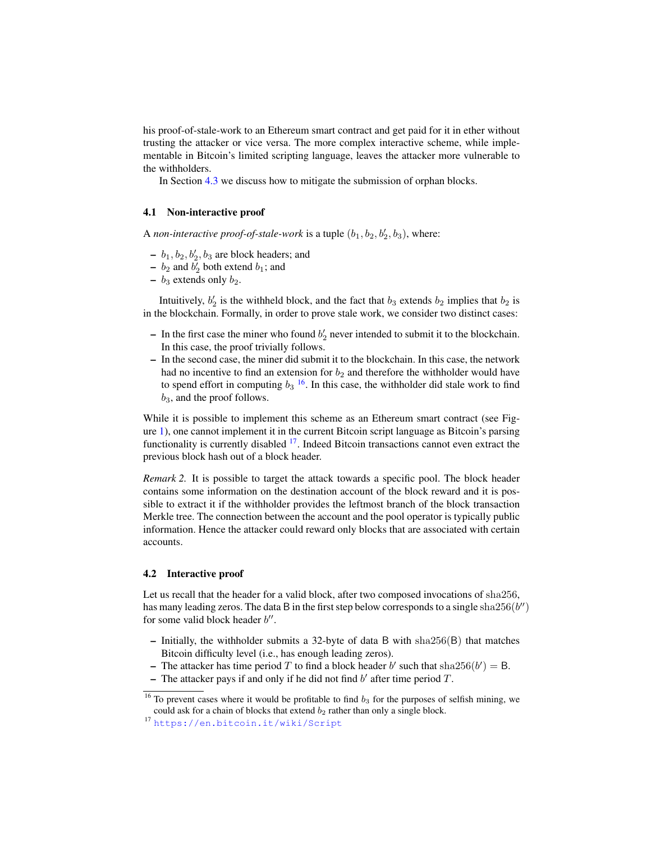his proof-of-stale-work to an Ethereum smart contract and get paid for it in ether without trusting the attacker or vice versa. The more complex interactive scheme, while implementable in Bitcoin's limited scripting language, leaves the attacker more vulnerable to the withholders.

In Section [4.3](#page-8-0) we discuss how to mitigate the submission of orphan blocks.

#### <span id="page-7-2"></span>4.1 Non-interactive proof

A *non-interactive proof-of-stale-work* is a tuple  $(b_1, b_2, b'_2, b_3)$ , where:

- $b_1, b_2, b'_2, b_3$  are block headers; and
- $b_2$  and  $b'_2$  both extend  $b_1$ ; and
- $b_3$  extends only  $b_2$ .

Intuitively,  $b'_2$  is the withheld block, and the fact that  $b_3$  extends  $b_2$  implies that  $b_2$  is in the blockchain. Formally, in order to prove stale work, we consider two distinct cases:

- In the first case the miner who found  $b'_2$  never intended to submit it to the blockchain. In this case, the proof trivially follows.
- In the second case, the miner did submit it to the blockchain. In this case, the network had no incentive to find an extension for  $b_2$  and therefore the withholder would have to spend effort in computing  $b_3$  <sup>[16](#page-7-0)</sup>. In this case, the withholder did stale work to find  $b_3$ , and the proof follows.

While it is possible to implement this scheme as an Ethereum smart contract (see Figure [1\)](#page-8-1), one cannot implement it in the current Bitcoin script language as Bitcoin's parsing functionality is currently disabled  $17$ . Indeed Bitcoin transactions cannot even extract the previous block hash out of a block header.

*Remark 2.* It is possible to target the attack towards a specific pool. The block header contains some information on the destination account of the block reward and it is possible to extract it if the withholder provides the leftmost branch of the block transaction Merkle tree. The connection between the account and the pool operator is typically public information. Hence the attacker could reward only blocks that are associated with certain accounts.

#### <span id="page-7-3"></span>4.2 Interactive proof

Let us recall that the header for a valid block, after two composed invocations of sha256, has many leading zeros. The data B in the first step below corresponds to a single sha $256(b'')$ for some valid block header  $b''$ .

- Initially, the withholder submits a 32-byte of data B with sha256(B) that matches Bitcoin difficulty level (i.e., has enough leading zeros).
- The attacker has time period T to find a block header b' such that sha $256(b') = B$ .
- The attacker pays if and only if he did not find  $b'$  after time period  $T$ .

<span id="page-7-0"></span><sup>&</sup>lt;sup>16</sup> To prevent cases where it would be profitable to find  $b_3$  for the purposes of selfish mining, we could ask for a chain of blocks that extend  $b_2$  rather than only a single block.

<span id="page-7-1"></span><sup>17</sup> <https://en.bitcoin.it/wiki/Script>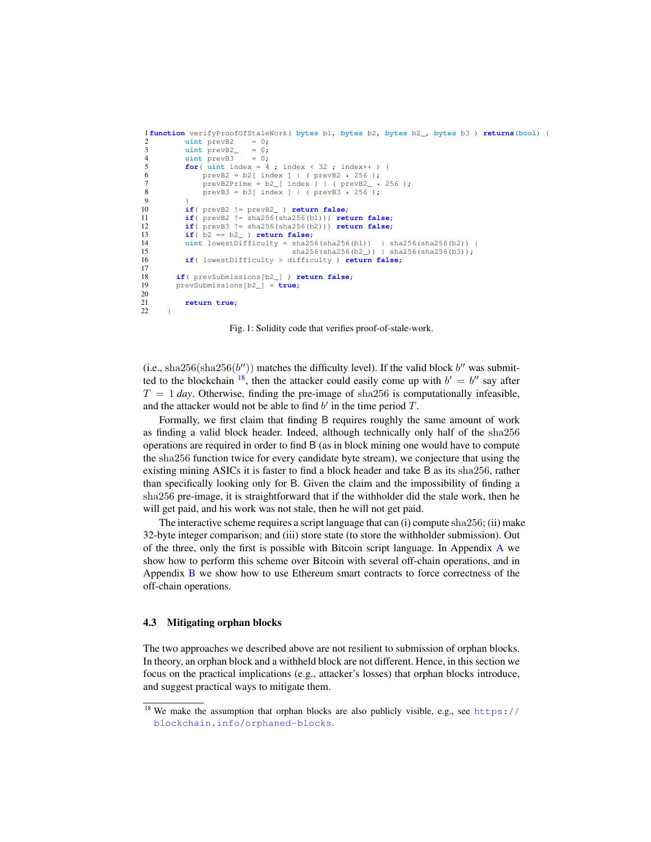```
1function verifyProofOfStaleWork( bytes b1, bytes b2, bytes b2_, bytes b3 ) returns(bool) {
2 uint prevB2 = 0;<br>3 uint prevB2 = 0;
           uint prevB2
4 uint prevB3 = 0;
5 for( \text{uint index} = 4 ; \text{index} < 32 ; \text{index} + ) {<br>6 \text{prevB2} = b2 \text{ index } 1 + (\text{prevB2} * 256) :
6 prevB2 = b2[index] | (prevB2 * 256);<br>
7 prevB2Prime = b2[index] | (prevB2 * 256);
7 prevB2Prime = b2[ index ] | ( prevB2_ * 256 );<br>8 prevB3 = b3[ index ] | ( prevB3 + 256 ):
8 prevB3 = b3[ index ] | ( prevB3 \times 256 );
 9 }
10 if( prevB2 != prevB2_ ) return false;
11 if( prevB2 != sha256(sha256(b1))) return false;
           12 if( prevB3 != sha256(sha256(b2))) return false;
13 if( b2 == b2_ ) return false;
14 uint lowestDifficulty = sha256(sha256(b1)) | sha256(sha256(b2)) | 15
                                      sha256(sha256(b2)) | sha256(sha256(b3));
16 if( lowestDifficulty > difficulty ) return false;
17
18 if( prevSubmissions[b2_] ) return false;
        19 prevSubmissions[b2_] = true;
\frac{20}{21}return true;
22 }
```
Fig. 1: Solidity code that verifies proof-of-stale-work.

(i.e., sha256(sha256(b'')) matches the difficulty level). If the valid block  $b''$  was submitted to the blockchain  $^{18}$  $^{18}$  $^{18}$ , then the attacker could easily come up with  $b' = b''$  say after  $T = 1$  *day*. Otherwise, finding the pre-image of sha256 is computationally infeasible, and the attacker would not be able to find  $b'$  in the time period  $T$ .

Formally, we first claim that finding B requires roughly the same amount of work as finding a valid block header. Indeed, although technically only half of the sha256 operations are required in order to find B (as in block mining one would have to compute the sha256 function twice for every candidate byte stream), we conjecture that using the existing mining ASICs it is faster to find a block header and take B as its sha256, rather than specifically looking only for B. Given the claim and the impossibility of finding a sha256 pre-image, it is straightforward that if the withholder did the stale work, then he will get paid, and his work was not stale, then he will not get paid.

The interactive scheme requires a script language that can (i) compute sha256; (ii) make 32-byte integer comparison; and (iii) store state (to store the withholder submission). Out of the three, only the first is possible with Bitcoin script language. In Appendix [A](#page-13-0) we show how to perform this scheme over Bitcoin with several off-chain operations, and in Appendix [B](#page-14-0) we show how to use Ethereum smart contracts to force correctness of the off-chain operations.

#### <span id="page-8-0"></span>4.3 Mitigating orphan blocks

The two approaches we described above are not resilient to submission of orphan blocks. In theory, an orphan block and a withheld block are not different. Hence, in this section we focus on the practical implications (e.g., attacker's losses) that orphan blocks introduce, and suggest practical ways to mitigate them.

<span id="page-8-2"></span> $18$  We make the assumption that orphan blocks are also publicly visible, e.g., see [https://](https://blockchain.info/orphaned-blocks) [blockchain.info/orphaned-blocks](https://blockchain.info/orphaned-blocks).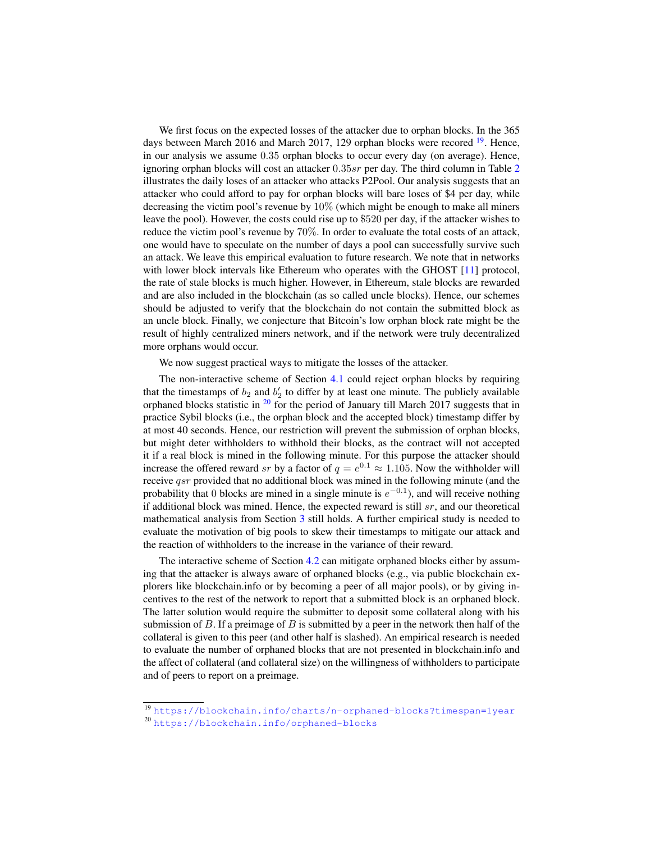We first focus on the expected losses of the attacker due to orphan blocks. In the 365 days between March 2016 and March 2017, 129 orphan blocks were recored <sup>[19](#page-9-0)</sup>. Hence, in our analysis we assume 0.35 orphan blocks to occur every day (on average). Hence, ignoring orphan blocks will cost an attacker  $0.35sr$  per day. The third column in Table [2](#page-6-1) illustrates the daily loses of an attacker who attacks P2Pool. Our analysis suggests that an attacker who could afford to pay for orphan blocks will bare loses of \$4 per day, while decreasing the victim pool's revenue by 10% (which might be enough to make all miners leave the pool). However, the costs could rise up to \$520 per day, if the attacker wishes to reduce the victim pool's revenue by 70%. In order to evaluate the total costs of an attack, one would have to speculate on the number of days a pool can successfully survive such an attack. We leave this empirical evaluation to future research. We note that in networks with lower block intervals like Ethereum who operates with the GHOST [\[11\]](#page-12-10) protocol, the rate of stale blocks is much higher. However, in Ethereum, stale blocks are rewarded and are also included in the blockchain (as so called uncle blocks). Hence, our schemes should be adjusted to verify that the blockchain do not contain the submitted block as an uncle block. Finally, we conjecture that Bitcoin's low orphan block rate might be the result of highly centralized miners network, and if the network were truly decentralized more orphans would occur.

We now suggest practical ways to mitigate the losses of the attacker.

The non-interactive scheme of Section [4.1](#page-7-2) could reject orphan blocks by requiring that the timestamps of  $b_2$  and  $b'_2$  to differ by at least one minute. The publicly available orphaned blocks statistic in  $20$  for the period of January till March 2017 suggests that in practice Sybil blocks (i.e., the orphan block and the accepted block) timestamp differ by at most 40 seconds. Hence, our restriction will prevent the submission of orphan blocks, but might deter withholders to withhold their blocks, as the contract will not accepted it if a real block is mined in the following minute. For this purpose the attacker should increase the offered reward sr by a factor of  $q = e^{0.1} \approx 1.105$ . Now the withholder will receive qsr provided that no additional block was mined in the following minute (and the probability that 0 blocks are mined in a single minute is  $e^{-0.1}$ ), and will receive nothing if additional block was mined. Hence, the expected reward is still  $sr$ , and our theoretical mathematical analysis from Section [3](#page-4-0) still holds. A further empirical study is needed to evaluate the motivation of big pools to skew their timestamps to mitigate our attack and the reaction of withholders to the increase in the variance of their reward.

The interactive scheme of Section [4.2](#page-7-3) can mitigate orphaned blocks either by assuming that the attacker is always aware of orphaned blocks (e.g., via public blockchain explorers like blockchain.info or by becoming a peer of all major pools), or by giving incentives to the rest of the network to report that a submitted block is an orphaned block. The latter solution would require the submitter to deposit some collateral along with his submission of  $B$ . If a preimage of  $B$  is submitted by a peer in the network then half of the collateral is given to this peer (and other half is slashed). An empirical research is needed to evaluate the number of orphaned blocks that are not presented in blockchain.info and the affect of collateral (and collateral size) on the willingness of withholders to participate and of peers to report on a preimage.

<span id="page-9-0"></span><sup>19</sup> <https://blockchain.info/charts/n-orphaned-blocks?timespan=1year>

<span id="page-9-1"></span><sup>20</sup> <https://blockchain.info/orphaned-blocks>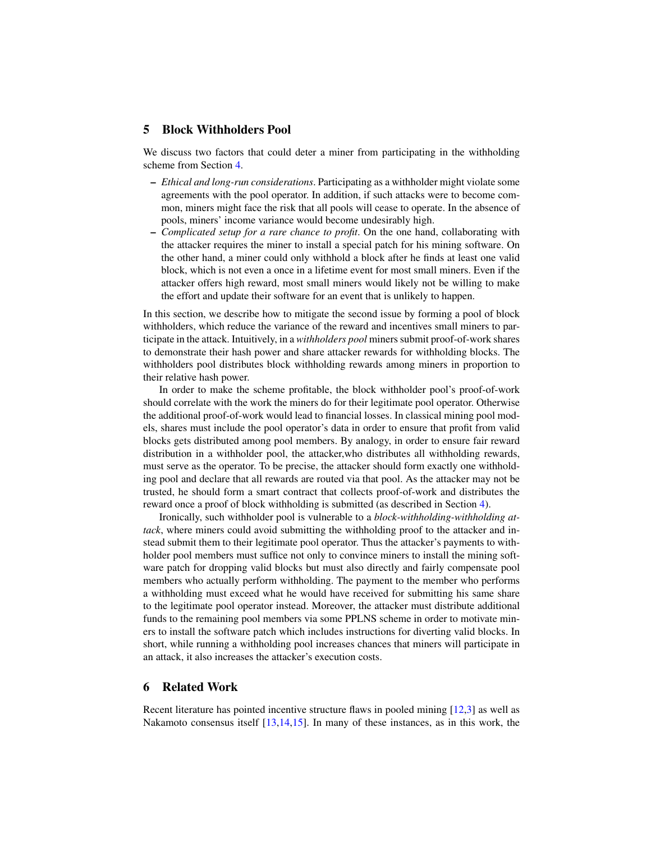## <span id="page-10-0"></span>5 Block Withholders Pool

We discuss two factors that could deter a miner from participating in the withholding scheme from Section [4.](#page-6-0)

- *Ethical and long-run considerations*. Participating as a withholder might violate some agreements with the pool operator. In addition, if such attacks were to become common, miners might face the risk that all pools will cease to operate. In the absence of pools, miners' income variance would become undesirably high.
- *Complicated setup for a rare chance to profit*. On the one hand, collaborating with the attacker requires the miner to install a special patch for his mining software. On the other hand, a miner could only withhold a block after he finds at least one valid block, which is not even a once in a lifetime event for most small miners. Even if the attacker offers high reward, most small miners would likely not be willing to make the effort and update their software for an event that is unlikely to happen.

In this section, we describe how to mitigate the second issue by forming a pool of block withholders, which reduce the variance of the reward and incentives small miners to participate in the attack. Intuitively, in a *withholders pool* miners submit proof-of-work shares to demonstrate their hash power and share attacker rewards for withholding blocks. The withholders pool distributes block withholding rewards among miners in proportion to their relative hash power.

In order to make the scheme profitable, the block withholder pool's proof-of-work should correlate with the work the miners do for their legitimate pool operator. Otherwise the additional proof-of-work would lead to financial losses. In classical mining pool models, shares must include the pool operator's data in order to ensure that profit from valid blocks gets distributed among pool members. By analogy, in order to ensure fair reward distribution in a withholder pool, the attacker,who distributes all withholding rewards, must serve as the operator. To be precise, the attacker should form exactly one withholding pool and declare that all rewards are routed via that pool. As the attacker may not be trusted, he should form a smart contract that collects proof-of-work and distributes the reward once a proof of block withholding is submitted (as described in Section [4\)](#page-6-0).

Ironically, such withholder pool is vulnerable to a *block-withholding-withholding attack*, where miners could avoid submitting the withholding proof to the attacker and instead submit them to their legitimate pool operator. Thus the attacker's payments to withholder pool members must suffice not only to convince miners to install the mining software patch for dropping valid blocks but must also directly and fairly compensate pool members who actually perform withholding. The payment to the member who performs a withholding must exceed what he would have received for submitting his same share to the legitimate pool operator instead. Moreover, the attacker must distribute additional funds to the remaining pool members via some PPLNS scheme in order to motivate miners to install the software patch which includes instructions for diverting valid blocks. In short, while running a withholding pool increases chances that miners will participate in an attack, it also increases the attacker's execution costs.

### 6 Related Work

Recent literature has pointed incentive structure flaws in pooled mining [\[12,](#page-12-11)[3\]](#page-12-2) as well as Nakamoto consensus itself [\[13,](#page-12-12)[14,](#page-12-13)[15\]](#page-12-14). In many of these instances, as in this work, the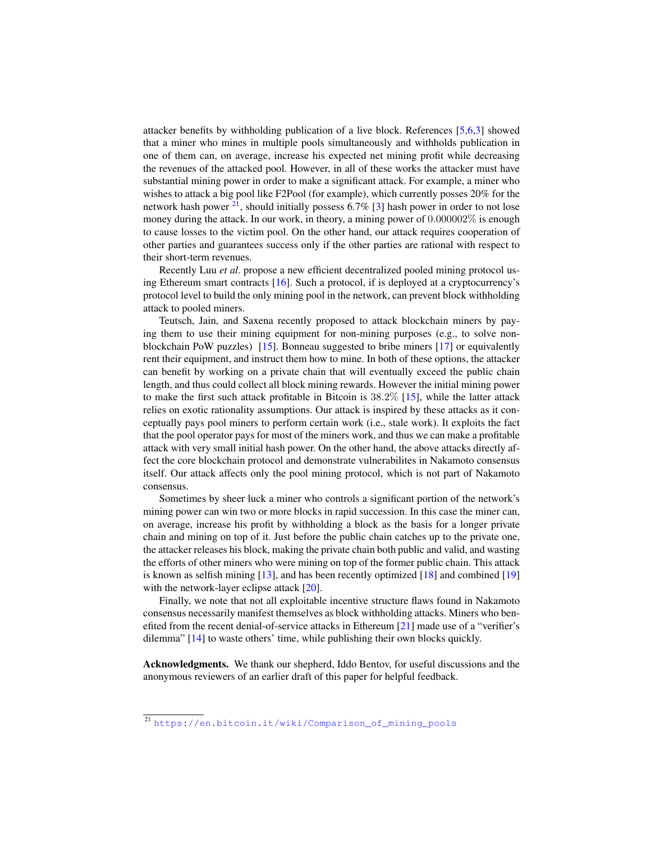attacker benefits by withholding publication of a live block. References [\[5](#page-12-4)[,6](#page-12-5)[,3\]](#page-12-2) showed that a miner who mines in multiple pools simultaneously and withholds publication in one of them can, on average, increase his expected net mining profit while decreasing the revenues of the attacked pool. However, in all of these works the attacker must have substantial mining power in order to make a significant attack. For example, a miner who wishes to attack a big pool like F2Pool (for example), which currently posses 20% for the network hash power  $2^1$ , should initially possess 6.7% [\[3\]](#page-12-2) hash power in order to not lose money during the attack. In our work, in theory, a mining power of  $0.000002\%$  is enough to cause losses to the victim pool. On the other hand, our attack requires cooperation of other parties and guarantees success only if the other parties are rational with respect to their short-term revenues.

Recently Luu *et al*. propose a new efficient decentralized pooled mining protocol using Ethereum smart contracts [\[16\]](#page-12-15). Such a protocol, if is deployed at a cryptocurrency's protocol level to build the only mining pool in the network, can prevent block withholding attack to pooled miners.

Teutsch, Jain, and Saxena recently proposed to attack blockchain miners by paying them to use their mining equipment for non-mining purposes (e.g., to solve nonblockchain PoW puzzles) [\[15\]](#page-12-14). Bonneau suggested to bribe miners [\[17\]](#page-12-16) or equivalently rent their equipment, and instruct them how to mine. In both of these options, the attacker can benefit by working on a private chain that will eventually exceed the public chain length, and thus could collect all block mining rewards. However the initial mining power to make the first such attack profitable in Bitcoin is 38.2% [\[15\]](#page-12-14), while the latter attack relies on exotic rationality assumptions. Our attack is inspired by these attacks as it conceptually pays pool miners to perform certain work (i.e., stale work). It exploits the fact that the pool operator pays for most of the miners work, and thus we can make a profitable attack with very small initial hash power. On the other hand, the above attacks directly affect the core blockchain protocol and demonstrate vulnerabilites in Nakamoto consensus itself. Our attack affects only the pool mining protocol, which is not part of Nakamoto consensus.

Sometimes by sheer luck a miner who controls a significant portion of the network's mining power can win two or more blocks in rapid succession. In this case the miner can, on average, increase his profit by withholding a block as the basis for a longer private chain and mining on top of it. Just before the public chain catches up to the private one, the attacker releases his block, making the private chain both public and valid, and wasting the efforts of other miners who were mining on top of the former public chain. This attack is known as selfish mining [\[13\]](#page-12-12), and has been recently optimized [\[18\]](#page-12-17) and combined [\[19\]](#page-12-18) with the network-layer eclipse attack [\[20\]](#page-12-19).

Finally, we note that not all exploitable incentive structure flaws found in Nakamoto consensus necessarily manifest themselves as block withholding attacks. Miners who benefited from the recent denial-of-service attacks in Ethereum [\[21\]](#page-12-20) made use of a "verifier's dilemma" [\[14\]](#page-12-13) to waste others' time, while publishing their own blocks quickly.

Acknowledgments. We thank our shepherd, Iddo Bentov, for useful discussions and the anonymous reviewers of an earlier draft of this paper for helpful feedback.

<span id="page-11-0"></span><sup>21</sup> [https://en.bitcoin.it/wiki/Comparison\\_of\\_mining\\_pools](https://en.bitcoin.it/wiki/Comparison_of_mining_pools)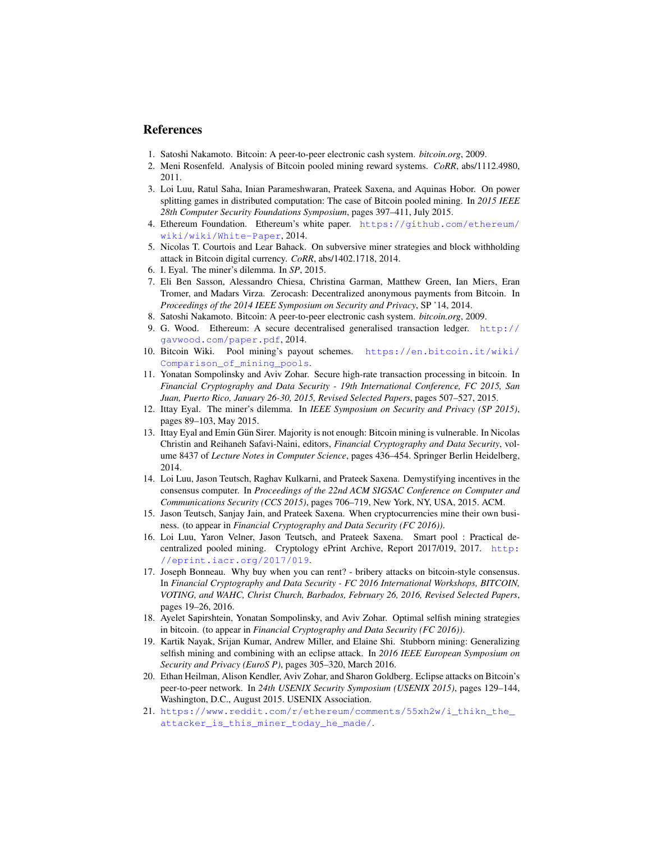## References

- <span id="page-12-0"></span>1. Satoshi Nakamoto. Bitcoin: A peer-to-peer electronic cash system. *bitcoin.org*, 2009.
- <span id="page-12-1"></span>2. Meni Rosenfeld. Analysis of Bitcoin pooled mining reward systems. *CoRR*, abs/1112.4980, 2011.
- <span id="page-12-2"></span>3. Loi Luu, Ratul Saha, Inian Parameshwaran, Prateek Saxena, and Aquinas Hobor. On power splitting games in distributed computation: The case of Bitcoin pooled mining. In *2015 IEEE 28th Computer Security Foundations Symposium*, pages 397–411, July 2015.
- <span id="page-12-3"></span>4. Ethereum Foundation. Ethereum's white paper. [https://github.com/ethereum/](https://github.com/ethereum/wiki/wiki/White-Paper) [wiki/wiki/White-Paper](https://github.com/ethereum/wiki/wiki/White-Paper), 2014.
- <span id="page-12-4"></span>5. Nicolas T. Courtois and Lear Bahack. On subversive miner strategies and block withholding attack in Bitcoin digital currency. *CoRR*, abs/1402.1718, 2014.
- <span id="page-12-5"></span>6. I. Eyal. The miner's dilemma. In *SP*, 2015.
- <span id="page-12-6"></span>7. Eli Ben Sasson, Alessandro Chiesa, Christina Garman, Matthew Green, Ian Miers, Eran Tromer, and Madars Virza. Zerocash: Decentralized anonymous payments from Bitcoin. In *Proceedings of the 2014 IEEE Symposium on Security and Privacy*, SP '14, 2014.
- <span id="page-12-7"></span>8. Satoshi Nakamoto. Bitcoin: A peer-to-peer electronic cash system. *bitcoin.org*, 2009.
- <span id="page-12-8"></span>9. G. Wood. Ethereum: A secure decentralised generalised transaction ledger. [http://](http://gavwood.com/paper.pdf) [gavwood.com/paper.pdf](http://gavwood.com/paper.pdf), 2014.
- <span id="page-12-9"></span>10. Bitcoin Wiki. Pool mining's payout schemes. [https://en.bitcoin.it/wiki/](https://en.bitcoin.it/wiki/Comparison_of_mining_pools) [Comparison\\_of\\_mining\\_pools](https://en.bitcoin.it/wiki/Comparison_of_mining_pools).
- <span id="page-12-10"></span>11. Yonatan Sompolinsky and Aviv Zohar. Secure high-rate transaction processing in bitcoin. In *Financial Cryptography and Data Security - 19th International Conference, FC 2015, San Juan, Puerto Rico, January 26-30, 2015, Revised Selected Papers*, pages 507–527, 2015.
- <span id="page-12-11"></span>12. Ittay Eyal. The miner's dilemma. In *IEEE Symposium on Security and Privacy (SP 2015)*, pages 89–103, May 2015.
- <span id="page-12-12"></span>13. Ittay Eyal and Emin Gun Sirer. Majority is not enough: Bitcoin mining is vulnerable. In Nicolas ¨ Christin and Reihaneh Safavi-Naini, editors, *Financial Cryptography and Data Security*, volume 8437 of *Lecture Notes in Computer Science*, pages 436–454. Springer Berlin Heidelberg, 2014.
- <span id="page-12-13"></span>14. Loi Luu, Jason Teutsch, Raghav Kulkarni, and Prateek Saxena. Demystifying incentives in the consensus computer. In *Proceedings of the 22nd ACM SIGSAC Conference on Computer and Communications Security (CCS 2015)*, pages 706–719, New York, NY, USA, 2015. ACM.
- <span id="page-12-14"></span>15. Jason Teutsch, Sanjay Jain, and Prateek Saxena. When cryptocurrencies mine their own business. (to appear in *Financial Cryptography and Data Security (FC 2016))*.
- <span id="page-12-15"></span>16. Loi Luu, Yaron Velner, Jason Teutsch, and Prateek Saxena. Smart pool : Practical decentralized pooled mining. Cryptology ePrint Archive, Report 2017/019, 2017. [http:](http://eprint.iacr.org/2017/019) [//eprint.iacr.org/2017/019](http://eprint.iacr.org/2017/019).
- <span id="page-12-16"></span>17. Joseph Bonneau. Why buy when you can rent? - bribery attacks on bitcoin-style consensus. In *Financial Cryptography and Data Security - FC 2016 International Workshops, BITCOIN, VOTING, and WAHC, Christ Church, Barbados, February 26, 2016, Revised Selected Papers*, pages 19–26, 2016.
- <span id="page-12-17"></span>18. Ayelet Sapirshtein, Yonatan Sompolinsky, and Aviv Zohar. Optimal selfish mining strategies in bitcoin. (to appear in *Financial Cryptography and Data Security (FC 2016))*.
- <span id="page-12-18"></span>19. Kartik Nayak, Srijan Kumar, Andrew Miller, and Elaine Shi. Stubborn mining: Generalizing selfish mining and combining with an eclipse attack. In *2016 IEEE European Symposium on Security and Privacy (EuroS P)*, pages 305–320, March 2016.
- <span id="page-12-19"></span>20. Ethan Heilman, Alison Kendler, Aviv Zohar, and Sharon Goldberg. Eclipse attacks on Bitcoin's peer-to-peer network. In *24th USENIX Security Symposium (USENIX 2015)*, pages 129–144, Washington, D.C., August 2015. USENIX Association.
- <span id="page-12-20"></span>21. [https://www.reddit.com/r/ethereum/comments/55xh2w/i\\_thikn\\_the\\_](https://www.reddit.com/r/ethereum/comments/55xh2w/i_thikn_the_attacker_is_this_miner_today_he_made/) [attacker\\_is\\_this\\_miner\\_today\\_he\\_made/](https://www.reddit.com/r/ethereum/comments/55xh2w/i_thikn_the_attacker_is_this_miner_today_he_made/).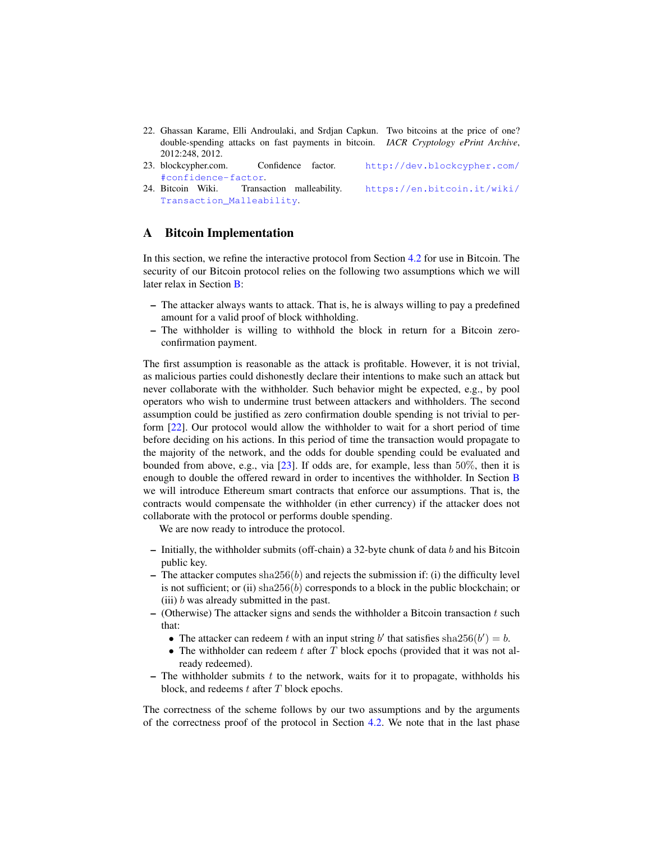- <span id="page-13-1"></span>22. Ghassan Karame, Elli Androulaki, and Srdjan Capkun. Two bitcoins at the price of one? double-spending attacks on fast payments in bitcoin. *IACR Cryptology ePrint Archive*, 2012:248, 2012.
- <span id="page-13-2"></span>23. blockcypher.com. Confidence factor. [http://dev.blockcypher.com/](http://dev.blockcypher.com/#confidence-factor) [#confidence-factor](http://dev.blockcypher.com/#confidence-factor).
- <span id="page-13-3"></span>24. Bitcoin Wiki. Transaction malleability. [https://en.bitcoin.it/wiki/](https://en.bitcoin.it/wiki/Transaction_Malleability) [Transaction\\_Malleability](https://en.bitcoin.it/wiki/Transaction_Malleability).

## <span id="page-13-0"></span>A Bitcoin Implementation

In this section, we refine the interactive protocol from Section [4.2](#page-7-3) for use in Bitcoin. The security of our Bitcoin protocol relies on the following two assumptions which we will later relax in Section [B:](#page-14-0)

- The attacker always wants to attack. That is, he is always willing to pay a predefined amount for a valid proof of block withholding.
- The withholder is willing to withhold the block in return for a Bitcoin zeroconfirmation payment.

The first assumption is reasonable as the attack is profitable. However, it is not trivial, as malicious parties could dishonestly declare their intentions to make such an attack but never collaborate with the withholder. Such behavior might be expected, e.g., by pool operators who wish to undermine trust between attackers and withholders. The second assumption could be justified as zero confirmation double spending is not trivial to perform [\[22\]](#page-13-1). Our protocol would allow the withholder to wait for a short period of time before deciding on his actions. In this period of time the transaction would propagate to the majority of the network, and the odds for double spending could be evaluated and bounded from above, e.g., via [\[23\]](#page-13-2). If odds are, for example, less than  $50\%$ , then it is enough to double the offered reward in order to incentives the withholder. In Section [B](#page-14-0) we will introduce Ethereum smart contracts that enforce our assumptions. That is, the contracts would compensate the withholder (in ether currency) if the attacker does not collaborate with the protocol or performs double spending.

We are now ready to introduce the protocol.

- Initially, the withholder submits (off-chain) a 32-byte chunk of data  $b$  and his Bitcoin public key.
- The attacker computes  $\text{sha256}(b)$  and rejects the submission if: (i) the difficulty level is not sufficient; or (ii)  $\text{sha256}(b)$  corresponds to a block in the public blockchain; or (iii)  $b$  was already submitted in the past.
- $-$  (Otherwise) The attacker signs and sends the withholder a Bitcoin transaction  $t$  such that:
	- The attacker can redeem t with an input string b' that satisfies sha $256(b') = b$ .
	- The withholder can redeem t after  $T$  block epochs (provided that it was not already redeemed).
- The withholder submits t to the network, waits for it to propagate, withholds his block, and redeems  $t$  after  $T$  block epochs.

The correctness of the scheme follows by our two assumptions and by the arguments of the correctness proof of the protocol in Section [4.2.](#page-7-3) We note that in the last phase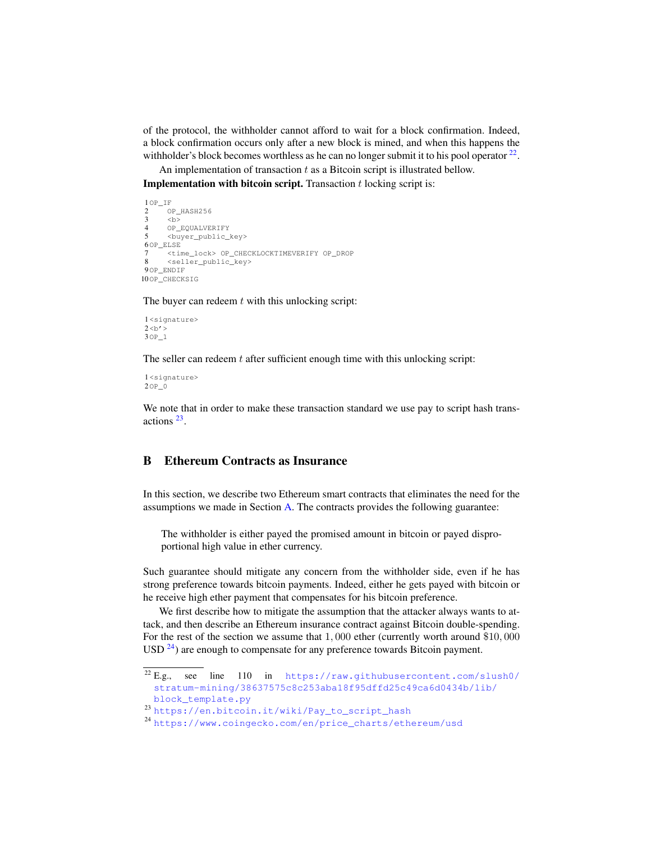of the protocol, the withholder cannot afford to wait for a block confirmation. Indeed, a block confirmation occurs only after a new block is mined, and when this happens the withholder's block becomes worthless as he can no longer submit it to his pool operator  $2^2$ .

An implementation of transaction  $t$  as a Bitcoin script is illustrated bellow.

**Implementation with bitcoin script.** Transaction  $t$  locking script is:

```
1^{\text{OP}}<sub>-IF</sub>
\frac{2}{3} OP_HASH256
\begin{array}{ccc} 3 & & \text{&} & \text{&} \\ 4 & & & \text{&} & \text{&} \end{array}OP_EQUALVERIFY
 5 <buyer_public_key>
6OP_ELSE
         7 <time_lock> OP_CHECKLOCKTIMEVERIFY OP_DROP
         <seller_public_key>
9OP_ENDIF
10OP_CHECKSIG
```
The buyer can redeem  $t$  with this unlocking script:

```
1<signature>
2 < b'3OP_1
```
The seller can redeem  $t$  after sufficient enough time with this unlocking script:

```
1<signature>
2OP_0
```
We note that in order to make these transaction standard we use pay to script hash transactions [23](#page-14-2) .

# <span id="page-14-0"></span>B Ethereum Contracts as Insurance

In this section, we describe two Ethereum smart contracts that eliminates the need for the assumptions we made in Section [A.](#page-13-0) The contracts provides the following guarantee:

The withholder is either payed the promised amount in bitcoin or payed disproportional high value in ether currency.

Such guarantee should mitigate any concern from the withholder side, even if he has strong preference towards bitcoin payments. Indeed, either he gets payed with bitcoin or he receive high ether payment that compensates for his bitcoin preference.

We first describe how to mitigate the assumption that the attacker always wants to attack, and then describe an Ethereum insurance contract against Bitcoin double-spending. For the rest of the section we assume that 1, 000 ether (currently worth around \$10, 000  $\text{USD}^2$ <sup>4</sup>) are enough to compensate for any preference towards Bitcoin payment.

<span id="page-14-1"></span> $22$  E.g., see line 110 in [https://raw.githubusercontent.com/slush0/](https://raw.githubusercontent.com/slush0/stratum-mining/38637575c8c253aba18f95dffd25c49ca6d0434b/lib/block_template.py) [stratum-mining/38637575c8c253aba18f95dffd25c49ca6d0434b/lib/](https://raw.githubusercontent.com/slush0/stratum-mining/38637575c8c253aba18f95dffd25c49ca6d0434b/lib/block_template.py)

[block\\_template.py](https://raw.githubusercontent.com/slush0/stratum-mining/38637575c8c253aba18f95dffd25c49ca6d0434b/lib/block_template.py)

<span id="page-14-2"></span><sup>23</sup> [https://en.bitcoin.it/wiki/Pay\\_to\\_script\\_hash](https://en.bitcoin.it/wiki/Pay_to_script_hash)

<span id="page-14-3"></span><sup>24</sup> [https://www.coingecko.com/en/price\\_charts/ethereum/usd](https://www.coingecko.com/en/price_charts/ethereum/usd)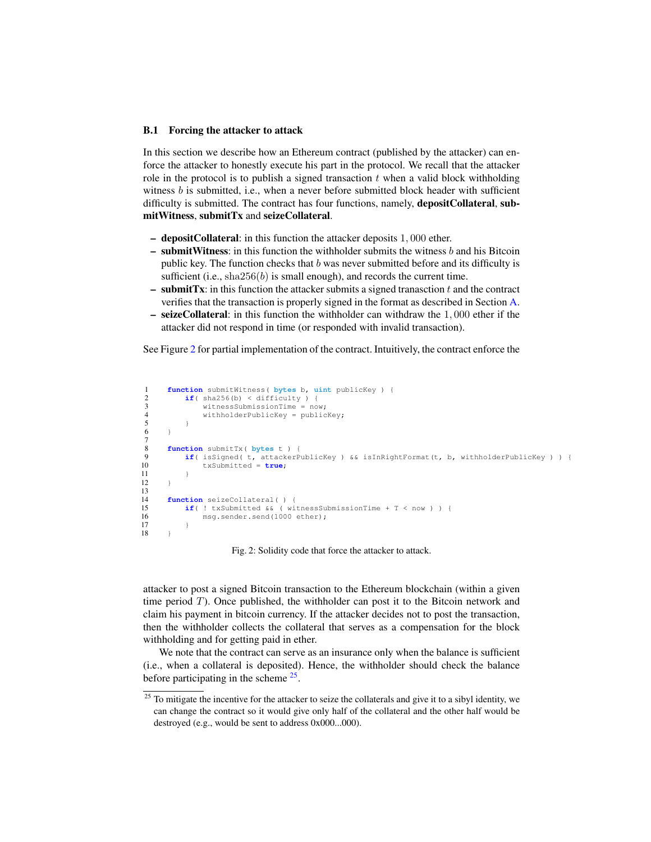#### B.1 Forcing the attacker to attack

In this section we describe how an Ethereum contract (published by the attacker) can enforce the attacker to honestly execute his part in the protocol. We recall that the attacker role in the protocol is to publish a signed transaction  $t$  when a valid block withholding witness  $b$  is submitted, i.e., when a never before submitted block header with sufficient difficulty is submitted. The contract has four functions, namely, **depositCollateral**, submitWitness, submitTx and seizeCollateral.

- depositCollateral: in this function the attacker deposits 1, 000 ether.
- $-$  submitWitness: in this function the withholder submits the witness  $b$  and his Bitcoin public key. The function checks that  $b$  was never submitted before and its difficulty is sufficient (i.e.,  $\text{sha256}(b)$  is small enough), and records the current time.
- $-$  submitTx: in this function the attacker submits a signed tranasction t and the contract verifies that the transaction is properly signed in the format as described in Section [A.](#page-13-0)
- seizeCollateral: in this function the withholder can withdraw the 1, 000 ether if the attacker did not respond in time (or responded with invalid transaction).

See Figure [2](#page-15-0) for partial implementation of the contract. Intuitively, the contract enforce the

```
1 function submitWitness( bytes b, uint publicKey ) {
2 if(sha256(b) < difficulty ) {<br>3 witnessSubmissionTime = no
 3 witnessSubmissionTime = now;<br>4 withholderPublicKey = public
 4 withholderPublicKey = publicKey;<br>5 }
        \overline{1}6 }
\frac{7}{8}8 function submitTx( bytes t ) {<br>9 if( isSigned( t attackerP
9 if( isSigned( t, attackerPublicKey ) && isInRightFormat(t, b, withholderPublicKey ) ) {<br>10 txSubmitted = true;
             txSubmitted = true;
11 }
12 \t313
14 function seizeCollateral( ) {<br>15 if( ! txSubmitted & & ( wi)
15 if( ! txSubmitted &\& ( witnessSubmissionTime + T < now ) ) {<br>16 msg.sender.send(1000 ether):
                  msg.sender.send(1000 ether);
\begin{array}{cc} 17 \\ 18 \end{array}18 }
```
Fig. 2: Solidity code that force the attacker to attack.

attacker to post a signed Bitcoin transaction to the Ethereum blockchain (within a given time period  $T$ ). Once published, the withholder can post it to the Bitcoin network and claim his payment in bitcoin currency. If the attacker decides not to post the transaction, then the withholder collects the collateral that serves as a compensation for the block withholding and for getting paid in ether.

We note that the contract can serve as an insurance only when the balance is sufficient (i.e., when a collateral is deposited). Hence, the withholder should check the balance before participating in the scheme <sup>[25](#page-15-1)</sup>.

<span id="page-15-1"></span> $25$  To mitigate the incentive for the attacker to seize the collaterals and give it to a sibyl identity, we can change the contract so it would give only half of the collateral and the other half would be destroyed (e.g., would be sent to address 0x000...000).